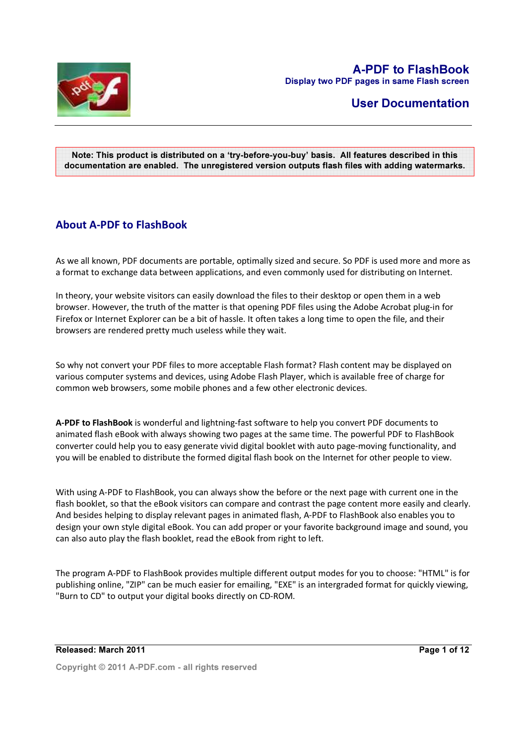

# User Documentation

#### Note: This product is distributed on a 'try-before-you-buy' basis. All features described in this documentation are enabled. The unregistered version outputs flash files with adding watermarks.

# About A-PDF to FlashBook

As we all known, PDF documents are portable, optimally sized and secure. So PDF is used more and more as a format to exchange data between applications, and even commonly used for distributing on Internet.

In theory, your website visitors can easily download the files to their desktop or open them in a web browser. However, the truth of the matter is that opening PDF files using the Adobe Acrobat plug-in for Firefox or Internet Explorer can be a bit of hassle. It often takes a long time to open the file, and their browsers are rendered pretty much useless while they wait.

So why not convert your PDF files to more acceptable Flash format? Flash content may be displayed on various computer systems and devices, using Adobe Flash Player, which is available free of charge for common web browsers, some mobile phones and a few other electronic devices.

A-PDF to FlashBook is wonderful and lightning-fast software to help you convert PDF documents to animated flash eBook with always showing two pages at the same time. The powerful PDF to FlashBook converter could help you to easy generate vivid digital booklet with auto page-moving functionality, and you will be enabled to distribute the formed digital flash book on the Internet for other people to view.

With using A-PDF to FlashBook, you can always show the before or the next page with current one in the flash booklet, so that the eBook visitors can compare and contrast the page content more easily and clearly. And besides helping to display relevant pages in animated flash, A-PDF to FlashBook also enables you to design your own style digital eBook. You can add proper or your favorite background image and sound, you can also auto play the flash booklet, read the eBook from right to left.

The program A-PDF to FlashBook provides multiple different output modes for you to choose: "HTML" is for publishing online, "ZIP" can be much easier for emailing, "EXE" is an intergraded format for quickly viewing, "Burn to CD" to output your digital books directly on CD-ROM.

#### Released: March 2011

Page 1 of 12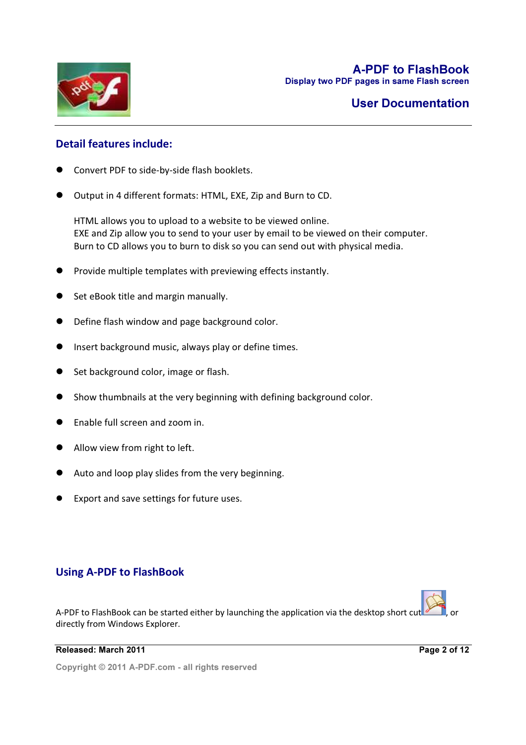

# Detail features include:

- Convert PDF to side-by-side flash booklets.
- Output in 4 different formats: HTML, EXE, Zip and Burn to CD.

HTML allows you to upload to a website to be viewed online. EXE and Zip allow you to send to your user by email to be viewed on their computer. Burn to CD allows you to burn to disk so you can send out with physical media.

- Provide multiple templates with previewing effects instantly.
- Set eBook title and margin manually.
- Define flash window and page background color.
- **•** Insert background music, always play or define times.
- Set background color, image or flash.
- Show thumbnails at the very beginning with defining background color.
- Enable full screen and zoom in.
- Allow view from right to left.
- Auto and loop play slides from the very beginning.
- Export and save settings for future uses.

# Using A-PDF to FlashBook

A-PDF to FlashBook can be started either by launching the application via the desktop short cut directly from Windows Explorer.

#### Released: March 2011

Page 2 of 12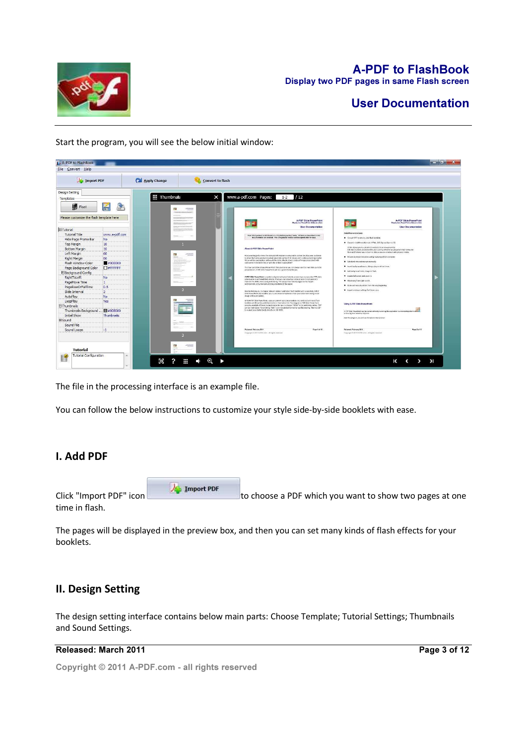

E. A-PDF to FlashBook  $-0-x$ Eile Convert Help **Signal Convert to flash** Apply Change Import PDF Design Setting **E** Thumbi X | www.a-pdf.com Pages:  $1-2$  / 12  $\blacksquare$  Float EA Please customize the flash template here -<br>A-PDF Slide PowerPoint<br>Eleploy has PowerPoint states at a time 置置 ElTutorial Tutorial<br>Tutorial Title<br>Hide Page Frame Bar<br>Top Margin<br>Left Margin<br>Left Margin<br>Right Margin<br>Plaas Window Color<br>Page Background Config<br>RightToLeft<br>RightToLeft ww.a-pdf.com -<br>Note: This product in dictributed on a try-below-you-buy basis. All hemores described in this<br>descenselation are enabled. The unmateliated version will be enabled after 30 peer. .<br>Free format: FTML DXL 2 HTML allows you to upload for a website to be<br>ERE and 2 p allow you to send to your user by<br>Rent to CD allows you to bent to disk up you 10 usions about your slide content? Or<br>in and would like to be able to show  $\begin{array}{c}\n 0 \\
\hline\n 0\n \end{array}$ .<br>Siyout FowerFolgt Nes at once so you can a aneRiseOrFalTi  $0.5$ Slide Interval AutoPlay pPlay Yes LoopPlay<br>rumbnails<br>Thumbnails Background ...<br>rumd File<br>Saumd File 圜 Sound File<br>Sound Loc Tutorial Tutorial Co 暨  $\Xi$  $? \equiv + Q$  $K$   $\leftarrow$   $\rightarrow$   $\rightarrow$   $\rightarrow$ 

Start the program, you will see the below initial window:

The file in the processing interface is an example file.

You can follow the below instructions to customize your style side-by-side booklets with ease.

# I. Add PDF

Click "Import PDF" icon to the import PDF to choose a PDF which you want to show two pages at one time in flash.

The pages will be displayed in the preview box, and then you can set many kinds of flash effects for your booklets.

# II. Design Setting

The design setting interface contains below main parts: Choose Template; Tutorial Settings; Thumbnails and Sound Settings.

#### Released: March 2011

Page 3 of 12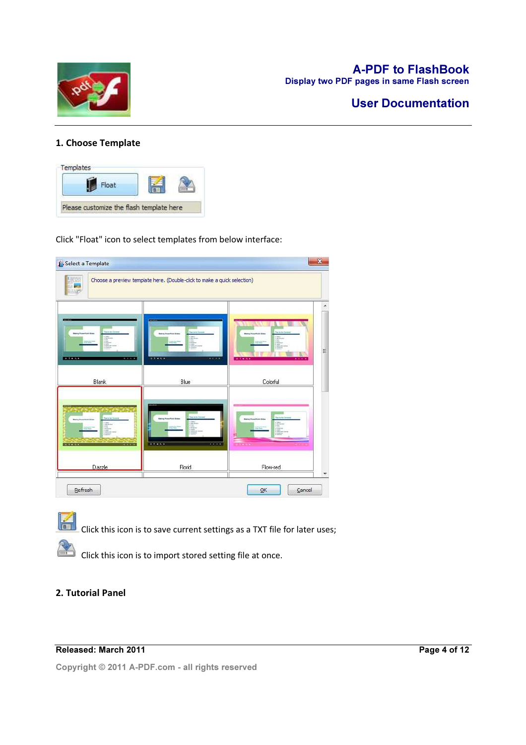

# User Documentation

## 1. Choose Template



Click "Float" icon to select templates from below interface:

| Select a Template           |                                                                          | $\mathbf{x}$                                |
|-----------------------------|--------------------------------------------------------------------------|---------------------------------------------|
|                             | Choose a preview template here. (Double-click to make a quick selection) |                                             |
| <b>BEAMSTER</b><br>$-1.111$ | 30000<br>٠                                                               | $\star$<br>E<br>$-7.4 - 6.4$                |
| Blank                       | Blue                                                                     | Colorful                                    |
| 18.914.4<br>1.1.1.1         | EXERCI<br>0.00000                                                        |                                             |
| Dazzle                      | Florid                                                                   | Flow-red                                    |
| Refresh                     |                                                                          | $\overline{\mathsf{O}}\mathsf{K}$<br>Cancel |

 $\left| \frac{d\mathbf{r}}{dt} \right|$  Click this icon is to save current settings as a TXT file for later uses;

Click this icon is to import stored setting file at once.

### 2. Tutorial Panel

#### Released: March 2011

Page 4 of 12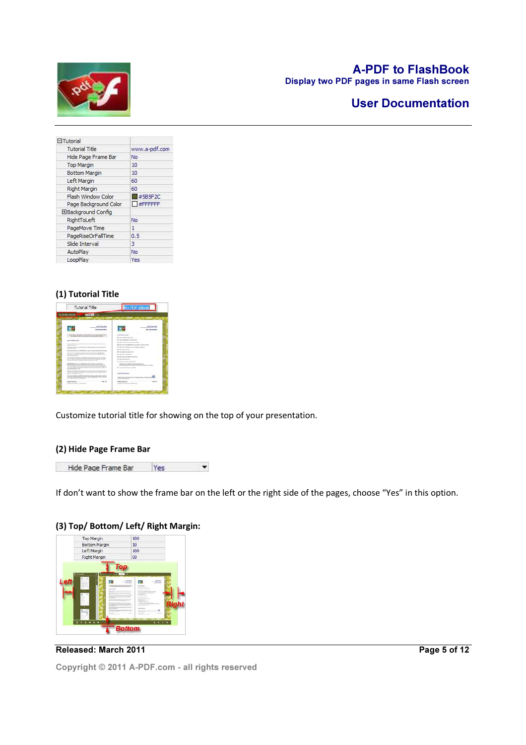

# A-PDF to FlashBook

Display two PDF pages in same Flash screen

# User Documentation

| <b>El Tutorial</b>        |                        |
|---------------------------|------------------------|
| <b>Tutorial Title</b>     | www.a-pdf.com          |
| Hide Page Frame Bar       | No                     |
| <b>Top Margin</b>         | 10                     |
| Bottom Margin             | 10                     |
| Left Margin               | 60                     |
| Right Margin              | 60                     |
| Flash Window Color        | $\blacksquare$ #5B5F2C |
| Page Background Color     | <b>EN #FFFFFFF</b>     |
| <b>EBackground Config</b> |                        |
| RightToLeft               | No                     |
| PageMove Time             | 1                      |
| PageRiseOrFallTime        | 0.5                    |
| Slide Interval            | 3                      |
| AutoPlay                  | No                     |
| LoopPlay                  | Yes                    |

#### (1) Tutorial Title

| 14200 1912<br>WASHINGTON                                                                                                                                                                                                                                                                                                                                        |                                                                                                                                                            |
|-----------------------------------------------------------------------------------------------------------------------------------------------------------------------------------------------------------------------------------------------------------------------------------------------------------------------------------------------------------------|------------------------------------------------------------------------------------------------------------------------------------------------------------|
| A FIX Park Road<br><b><i>COLORADO DE LA CASA EL CASA EL CASA EL CASA EL CASA EL CASA EL CASA EL CASA EL CASA EL CASA EL CASA EL CASA EL CASA EL CASA EL CASA EL CASA EL CASA EL CASA EL CASA EL CASA EL CASA EL CASA EL CASA EL CASA EL CASA EL CASA </i></b><br><b>San American</b>                                                                            | A PAY FOUR BOX<br><b>BUILDING COMPANY</b><br><b>Sea Science Advances</b>                                                                                   |
| the Virginian defeation instruments and determination of<br>All car delays all cartiers. The management second after approved in the day.                                                                                                                                                                                                                       | <b><i>Intel france to take</i></b><br><b>Construction Services</b>                                                                                         |
| <b>Box 5 RENOVER</b><br><b><i><u>Racement</u>helists</i></b><br><b>Colorado de Alegação de Alegação</b>                                                                                                                                                                                                                                                         | <b>Toronto representative controlled and</b><br>* handless shake an expectation                                                                            |
| a fire do see your<br>A dealer determined and<br><b>CARD AT AUTO AT A STATE OF A STATE</b><br><b>CONTRACTOR</b><br>Manufacture advanced McMall des locations and the common characteristics                                                                                                                                                                     | The program and the Multiple is a companies of the set that<br>. In this case and other production grade, includes the<br><b>B</b> referred monocity shots |
| full projection in sharehold and an occurred action in definition and a billion field<br>Tape after contacts that I have been in contact of contacts and contacts about a set<br>To ship dealers through                                                                                                                                                        | <b>A distance companies and</b><br># here activities a bit                                                                                                 |
| the construction dealership and the first process and construction<br>a cars for \$6.4 children codes belongs for any to be the trade. In car or an<br>AND PRODUCTS AND ARRESTS AND CONTRACTOR AND THE CARD                                                                                                                                                     | A the project of the color company<br><b>B</b> construction and con-<br>A report continues that sends                                                      |
| <b>A Michael Court of Links and Court of Links and Court of Links and Court of Links and Court of Links and Court</b><br><b>NUMBER OF REAL PROPERTY AND RESIDENTS AND RESIDENTS OF A REAL PROPERTY.</b><br>Art to the selection controls in animals in activate to draw a secondary arts<br>and him days below and to contain an except of the company and sold | <b>CA BALLAS HEATLA</b><br>78.03.0.8s (ii) 3.01.1 per article in a clear convent<br>book control to be interested by                                       |
| advertisement and write<br>Between the law with an advance transport one must as an effective<br>Additionally also a president and an except future is a part of the<br>and the company's and one                                                                                                                                                               | <b>HARASH TANK MORE</b>                                                                                                                                    |
| Tel: car can convented a conserved of the data is at the four case of a change of<br>A discussion cannot be additioned on the price department stress company.<br>an out-leased actually to                                                                                                                                                                     | <b><i>START RESIDENCE AND INCOME.</i></b><br>the party of the property of the con-                                                                         |
| <b>Source Mondate</b><br><b>Tourists</b><br><b>CONTRACTOR</b>                                                                                                                                                                                                                                                                                                   | <b>New York of D</b><br><b>Links</b>                                                                                                                       |

Customize tutorial title for showing on the top of your presentation.

#### (2) Hide Page Frame Bar



If don't want to show the frame bar on the left or the right side of the pages, choose "Yes" in this option.



Released: March 2011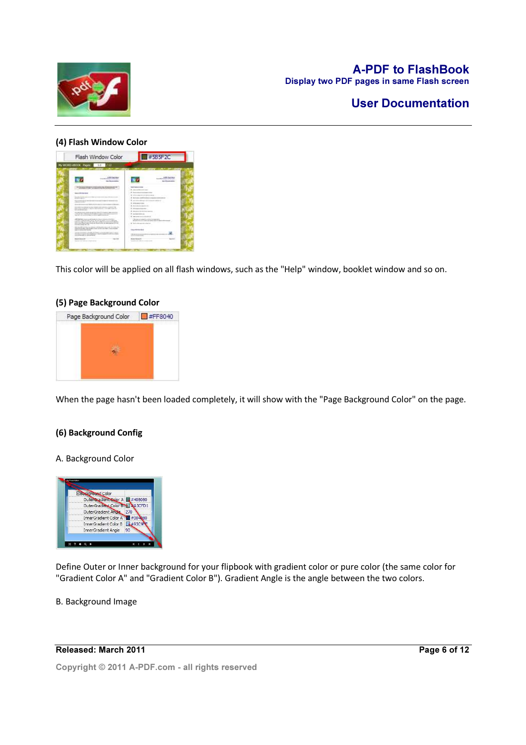

# User Documentation

#### (4) Flash Window Color

| WWORD mook them: 153 / 12<br><b>STATISTICS</b><br>۰<br><b>ABR Ford Box</b><br><b>L-Mid-Frank Alex</b><br><b><i><u>AND AT LOCAL</u></i></b><br><b>And - Manufacturers and Inc.</b><br>and account of the second continuation and of the property of the<br><b>Book Stationer College</b><br>ADVISED CORP. A GARDED POSTATION SATE<br><b>Longitude Income com-</b><br><b>A</b> characterization of the com-<br>--------<br>CONTRACTORS INTO A PRODUCTS AT 1.<br>Textile in the ca<br>٠<br><b>Building and the Animals and a control contact</b><br><b>START CORPORATION</b><br>AND RECORDS ARRESTS AND LODGED AT \$<br>9.2-2-2000 P.U. W192-931-010<br>and the company's<br><b><i>CONSIGNMENT</i></b><br>A development of 1991 A development of the party<br>4 John H. Wallack Life Andrews<br>the tradition consists are constructed to the content of the construction of the construction of the<br>The president of the first service and the control of the control of the con-<br>A discussion can<br><b>Bullion Allen Morrison Link A</b><br>4 / Meanweight for Advisers com-<br>the substitution of the process and the company's company's approaches to<br>Like at it a back collection and collect the series of the char-<br>+ particularly and<br>the after the back of the place of the company's the distance<br>1. 8 can extend the deal of<br>allow that there is an an an antichicle for the state around out to choosing the<br><b>B</b> continued company's a strategy company of the<br>FURNISHED A RALLATE ROOM START CONTINUES.<br>Britain down and a dealer state make colouring<br>and the logical state with the top condition of the state of the<br><b>WEIGHTS LITTLE</b><br>were competitioned to be a contract that the state of the state and the con-<br>Sends with a start of the color of<br>and the company's site of the<br>and the design to a whole the restriction which has not to come and the detailed the<br>manufacturing until to apply them up for the transverse students.<br>----<br>independent substitute that the device.<br>THE REVISION BURNING POWER FOR THE RESIDENCE OF A REPORT OF THE VEHICLE IS NOT THE ABOVE INTO A REPORT OF THE VEHICLE OF<br>determined to make a stational product of the con- | Elash Window Color             | $\Box$ #5B5F2C                                           |
|--------------------------------------------------------------------------------------------------------------------------------------------------------------------------------------------------------------------------------------------------------------------------------------------------------------------------------------------------------------------------------------------------------------------------------------------------------------------------------------------------------------------------------------------------------------------------------------------------------------------------------------------------------------------------------------------------------------------------------------------------------------------------------------------------------------------------------------------------------------------------------------------------------------------------------------------------------------------------------------------------------------------------------------------------------------------------------------------------------------------------------------------------------------------------------------------------------------------------------------------------------------------------------------------------------------------------------------------------------------------------------------------------------------------------------------------------------------------------------------------------------------------------------------------------------------------------------------------------------------------------------------------------------------------------------------------------------------------------------------------------------------------------------------------------------------------------------------------------------------------------------------------------------------------------------------------------------------------------------------------------------------------------------------------------------------------------------------------------------------------------------------------------------------------------------------------------------------------------------------------------------------|--------------------------------|----------------------------------------------------------|
|                                                                                                                                                                                                                                                                                                                                                                                                                                                                                                                                                                                                                                                                                                                                                                                                                                                                                                                                                                                                                                                                                                                                                                                                                                                                                                                                                                                                                                                                                                                                                                                                                                                                                                                                                                                                                                                                                                                                                                                                                                                                                                                                                                                                                                                              |                                |                                                          |
|                                                                                                                                                                                                                                                                                                                                                                                                                                                                                                                                                                                                                                                                                                                                                                                                                                                                                                                                                                                                                                                                                                                                                                                                                                                                                                                                                                                                                                                                                                                                                                                                                                                                                                                                                                                                                                                                                                                                                                                                                                                                                                                                                                                                                                                              |                                |                                                          |
| <b>Ave Adult</b><br>--<br><b>Books Calculated</b>                                                                                                                                                                                                                                                                                                                                                                                                                                                                                                                                                                                                                                                                                                                                                                                                                                                                                                                                                                                                                                                                                                                                                                                                                                                                                                                                                                                                                                                                                                                                                                                                                                                                                                                                                                                                                                                                                                                                                                                                                                                                                                                                                                                                            | catalytics and construction to | THE AFTER HEAT AND RESIDENCE.<br>and a fire to see them. |

This color will be applied on all flash windows, such as the "Help" window, booklet window and so on.

#### (5) Page Background Color



When the page hasn't been loaded completely, it will show with the "Page Background Color" on the page.

#### (6) Background Config

#### A. Background Color



Define Outer or Inner background for your flipbook with gradient color or pure color (the same color for "Gradient Color A" and "Gradient Color B"). Gradient Angle is the angle between the two colors.

#### B. Background Image

### Released: March 2011

Page 6 of 12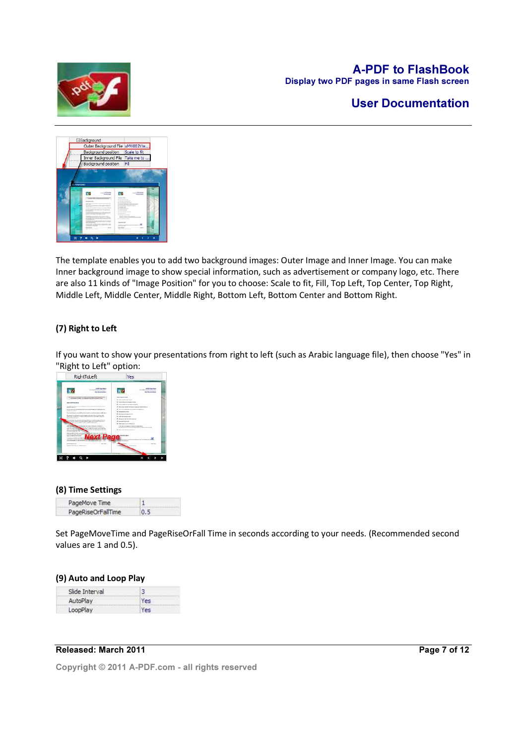

# User Documentation



The template enables you to add two background images: Outer Image and Inner Image. You can make Inner background image to show special information, such as advertisement or company logo, etc. There are also 11 kinds of "Image Position" for you to choose: Scale to fit, Fill, Top Left, Top Center, Top Right, Middle Left, Middle Center, Middle Right, Bottom Left, Bottom Center and Bottom Right.

### (7) Right to Left

If you want to show your presentations from right to left (such as Arabic language file), then choose "Yes" in "Right to Left" option:



#### (8) Time Settings

| PageMove Time      |     |
|--------------------|-----|
| PageRiseOrFallTime | n 5 |

Set PageMoveTime and PageRiseOrFall Time in seconds according to your needs. (Recommended second values are 1 and 0.5).

#### (9) Auto and Loop Play

| Slide Interval |     |
|----------------|-----|
| AutoPlay       | es  |
| LoopPlay       | Yes |

#### Released: March 2011

Page 7 of 12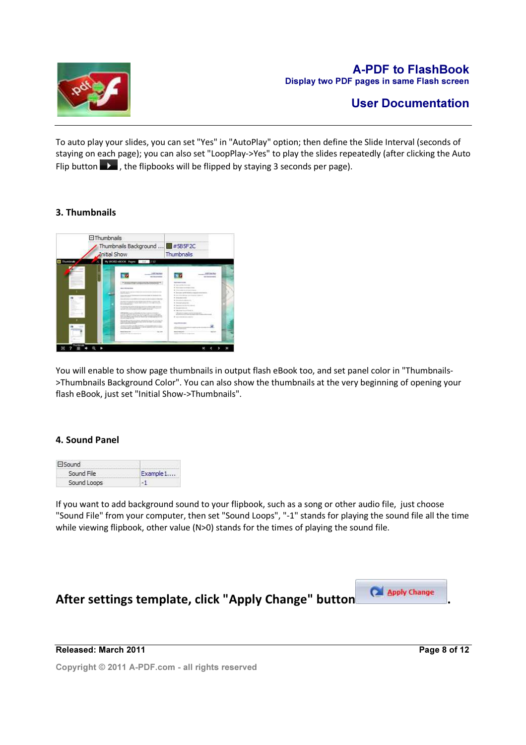

# User Documentation

To auto play your slides, you can set "Yes" in "AutoPlay" option; then define the Slide Interval (seconds of staying on each page); you can also set "LoopPlay->Yes" to play the slides repeatedly (after clicking the Auto Flip button  $\blacksquare$ , the flipbooks will be flipped by staying 3 seconds per page).

# 3. Thumbnails



You will enable to show page thumbnails in output flash eBook too, and set panel color in "Thumbnails- >Thumbnails Background Color". You can also show the thumbnails at the very beginning of opening your flash eBook, just set "Initial Show->Thumbnails".

### 4. Sound Panel

| <b>ElSound</b>                                    |           |
|---------------------------------------------------|-----------|
| Sound File<br><b>Account of the Control State</b> | Example 1 |
| Sound Loops                                       |           |

If you want to add background sound to your flipbook, such as a song or other audio file, just choose "Sound File" from your computer, then set "Sound Loops", "-1" stands for playing the sound file all the time while viewing flipbook, other value (N>0) stands for the times of playing the sound file.



Released: March 2011

Page 8 of 12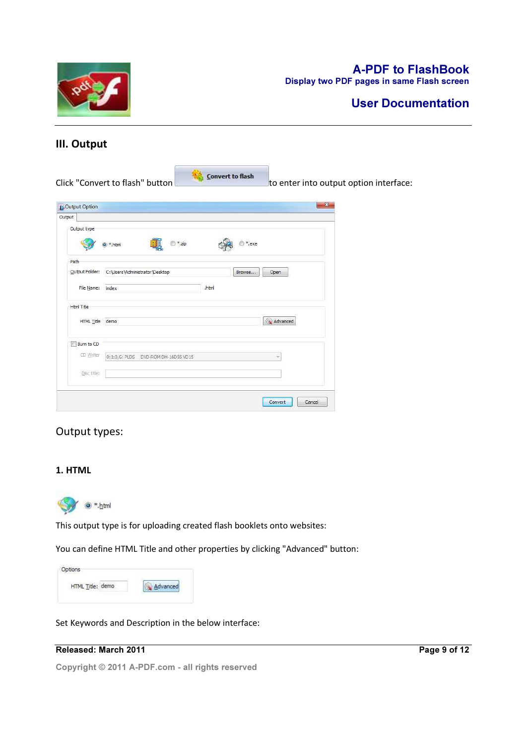

# A-PDF to FlashBook

Display two PDF pages in same Flash screen

# III. Output

Click "Convert to flash" button **the state of the Servert to flash** to enter into output option interface: **C**Output Option  $-x$ Output Output type  $\circledcirc$  \*.zip  $\odot$  \*.exe o<sup>\*</sup>.html Path Qutput Folder: C:\Users\Administrator\Desktop Browse... Open File Name: index .html Html Title HTML Title demo Advanced Burn to CD CD Writer 0:1:0,G: PLDS DVD-ROM DH-16D5S VD15 Ų Disc title: Convert Cancel

# Output types:

## 1. HTML



This output type is for uploading created flash booklets onto websites:

You can define HTML Title and other properties by clicking "Advanced" button:

| Options          |                       |
|------------------|-----------------------|
| HTML Title: demo | <i><b>Ivanced</b></i> |
|                  |                       |

Set Keywords and Description in the below interface:

# Released: March 2011

Page 9 of 12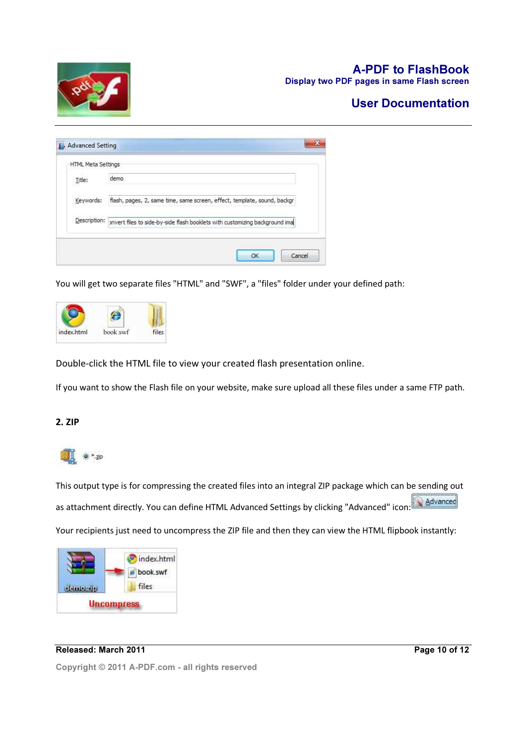

# A-PDF to FlashBook

Display two PDF pages in same Flash screen

# User Documentation

| <b>HTML Meta Settings</b> |                                                                             |
|---------------------------|-----------------------------------------------------------------------------|
| Title:                    | demo                                                                        |
| Keywords:                 | flash, pages, 2, same time, same screen, effect, template, sound, backgr    |
| Description:              | pnvert files to side-by-side flash booklets with customizing background ima |

You will get two separate files "HTML" and "SWF", a "files" folder under your defined path:



Double-click the HTML file to view your created flash presentation online.

If you want to show the Flash file on your website, make sure upload all these files under a same FTP path.

#### 2. ZIP



This output type is for compressing the created files into an integral ZIP package which can be sending out as attachment directly. You can define HTML Advanced Settings by clicking "Advanced" icon: Advanced Your recipients just need to uncompress the ZIP file and then they can view the HTML flipbook instantly:



#### Released: March 2011

Page 10 of 12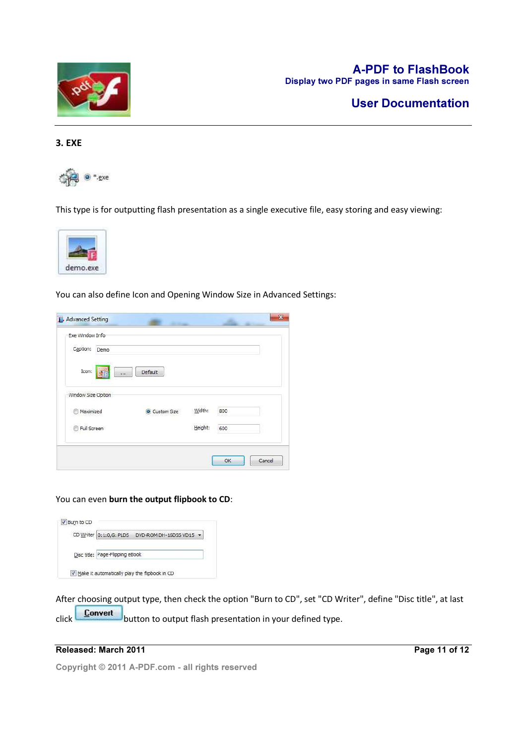

# User Documentation

#### 3. EXE



This type is for outputting flash presentation as a single executive file, easy storing and easy viewing:



You can also define Icon and Opening Window Size in Advanced Settings:

| Exe Window Info                  |               |         |     |  |
|----------------------------------|---------------|---------|-----|--|
| Caption:<br>Demo                 |               |         |     |  |
| Icon:<br>$\overline{\mathbf{u}}$ | Default       |         |     |  |
| Window Size Option               |               |         |     |  |
| Maximized                        | O Custom Size | Width:  | 800 |  |
| Full Screen                      |               | Height: | 600 |  |
|                                  |               |         |     |  |

You can even burn the output flipbook to CD:



After choosing output type, then check the option "Burn to CD", set "CD Writer", define "Disc title", at last click **Convert** button to output flash presentation in your defined type.

### Released: March 2011